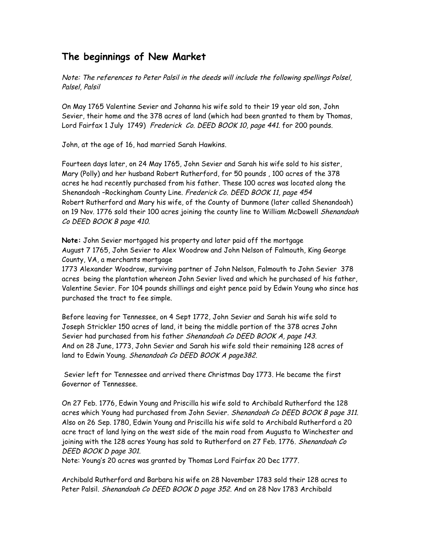## **The beginnings of New Market**

Note: The references to Peter Palsil in the deeds will include the following spellings Polsel, Palsel, Palsil

On May 1765 Valentine Sevier and Johanna his wife sold to their 19 year old son, John Sevier, their home and the 378 acres of land (which had been granted to them by Thomas, Lord Fairfax 1 July 1749) Frederick Co. DEED BOOK 10, page 441. for 200 pounds.

John, at the age of 16, had married Sarah Hawkins.

Fourteen days later, on 24 May 1765, John Sevier and Sarah his wife sold to his sister, Mary (Polly) and her husband Robert Rutherford, for 50 pounds , 100 acres of the 378 acres he had recently purchased from his father. These 100 acres was located along the Shenandoah –Rockingham County Line. Frederick Co. DEED BOOK 11, page 454 Robert Rutherford and Mary his wife, of the County of Dunmore (later called Shenandoah) on 19 Nov. 1776 sold their 100 acres joining the county line to William McDowell Shenandoah Co DEED BOOK B page 410.

**Note:** John Sevier mortgaged his property and later paid off the mortgage August 7 1765, John Sevier to Alex Woodrow and John Nelson of Falmouth, King George County, VA, a merchants mortgage

1773 Alexander Woodrow, surviving partner of John Nelson, Falmouth to John Sevier 378 acres being the plantation whereon John Sevier lived and which he purchased of his father, Valentine Sevier. For 104 pounds shillings and eight pence paid by Edwin Young who since has purchased the tract to fee simple.

Before leaving for Tennessee, on 4 Sept 1772, John Sevier and Sarah his wife sold to Joseph Strickler 150 acres of land, it being the middle portion of the 378 acres John Sevier had purchased from his father Shenandoah Co DEED BOOK A, page 143. And on 28 June, 1773, John Sevier and Sarah his wife sold their remaining 128 acres of land to Edwin Young. Shenandoah Co DEED BOOK <sup>A</sup> page382.

Sevier left for Tennessee and arrived there Christmas Day 1773. He became the first Governor of Tennessee.

On 27 Feb. 1776, Edwin Young and Priscilla his wife sold to Archibald Rutherford the 128 acres which Young had purchased from John Sevier. Shenandoah Co DEED BOOK B page 311. Also on 26 Sep. 1780, Edwin Young and Priscilla his wife sold to Archibald Rutherford a 20 acre tract of land lying on the west side of the main road from Augusta to Winchester and joining with the 128 acres Young has sold to Rutherford on 27 Feb. 1776. Shenandoah Co DEED BOOK D page 301.

Note: Young's 20 acres was granted by Thomas Lord Fairfax 20 Dec 1777.

Archibald Rutherford and Barbara his wife on 28 November 1783 sold their 128 acres to Peter Palsil. *Shenandoah Co DEED BOOK D page 352. A*nd on 28 Nov 1783 Archibald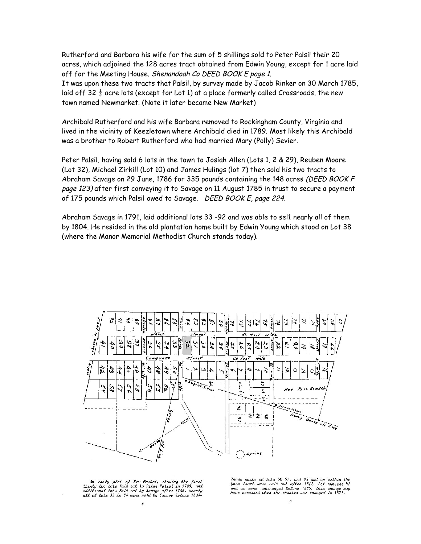Rutherford and Barbara his wife for the sum of 5 shillings sold to Peter Palsil their 20 acres, which adjoined the 128 acres tract obtained from Edwin Young, except for 1 acre laid off for the Meeting House. Shenandoah Co DEED BOOK E page 1. It was upon these two tracts that Palsil, by survey made by Jacob Rinker on 30 March 1785, laid off 32  $\frac{1}{2}$  acre lots (except for Lot 1) at a place formerly called Crossroads, the new town named Newmarket. (Note it later became New Market)

Archibald Rutherford and his wife Barbara removed to Rockingham County, Virginia and lived in the vicinity of Keezletown where Archibald died in 1789. Most likely this Archibald was a brother to Robert Rutherford who had married Mary (Polly) Sevier.

Peter Palsil, having sold 6 lots in the town to Josiah Allen (Lots 1, 2 & 29), Reuben Moore (Lot 32), Michael Zirkill (Lot 10) and James Hulings (lot 7) then sold his two tracts to Abraham Savage on 29 June, 1786 for 335 pounds containing the 148 acres (DEED BOOK F page 123) after first conveying it to Savage on 11 August 1785 in trust to secure a payment of 175 pounds which Palsil owed to Savage. DEED BOOK E, page 224.

Abraham Savage in 1791, laid additional lots 33 -92 and was able to sel1 nearly all of them by 1804. He resided in the old plantation home built by Edwin Young which stood on Lot 38 (where the Manor Memorial Methodist Church stands today).



An early plat of New Market, showing the first<br>thirity two lots laid out ly Peter Palsel in 1785, and<br>additional lots laid out ly Savage after 1786. Nearly<br>all of lots 33 to 84 were sold ly Savage lefore 1804–

.<br>Those parts of lots 50 51, and 93 and up within the have press of the chain of the 1812, lot numbers 51<br>and up were rearranged tefore 1885, this change may<br>have occurred when the charter was changed in 1871.